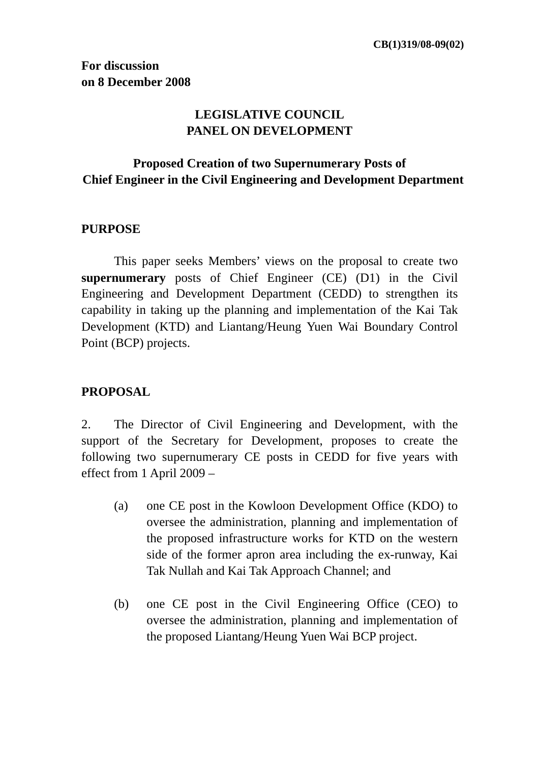# **LEGISLATIVE COUNCIL PANEL ON DEVELOPMENT**

# **Proposed Creation of two Supernumerary Posts of Chief Engineer in the Civil Engineering and Development Department**

# **PURPOSE**

 This paper seeks Members' views on the proposal to create two **supernumerary** posts of Chief Engineer (CE) (D1) in the Civil Engineering and Development Department (CEDD) to strengthen its capability in taking up the planning and implementation of the Kai Tak Development (KTD) and Liantang/Heung Yuen Wai Boundary Control Point (BCP) projects.

# **PROPOSAL**

2. The Director of Civil Engineering and Development, with the support of the Secretary for Development, proposes to create the following two supernumerary CE posts in CEDD for five years with effect from 1 April 2009 –

- (a) one CE post in the Kowloon Development Office (KDO) to oversee the administration, planning and implementation of the proposed infrastructure works for KTD on the western side of the former apron area including the ex-runway, Kai Tak Nullah and Kai Tak Approach Channel; and
- (b) one CE post in the Civil Engineering Office (CEO) to oversee the administration, planning and implementation of the proposed Liantang/Heung Yuen Wai BCP project.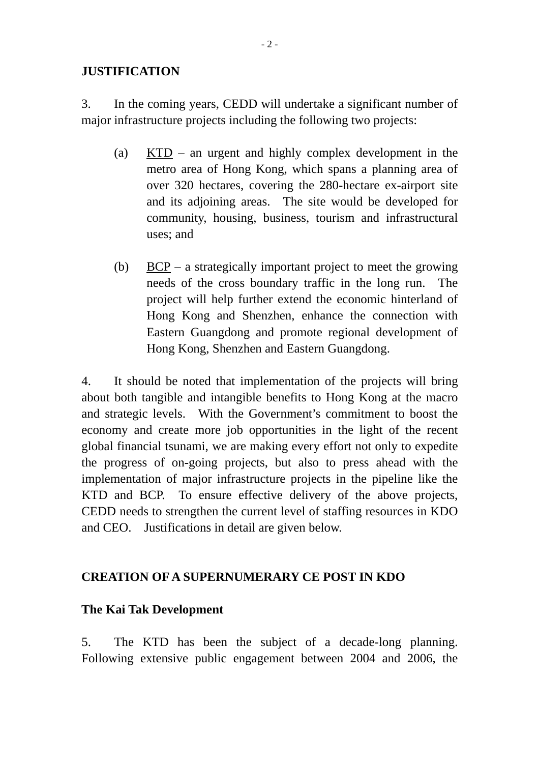#### **JUSTIFICATION**

3. In the coming years, CEDD will undertake a significant number of major infrastructure projects including the following two projects:

- (a) KTD an urgent and highly complex development in the metro area of Hong Kong, which spans a planning area of over 320 hectares, covering the 280-hectare ex-airport site and its adjoining areas. The site would be developed for community, housing, business, tourism and infrastructural uses; and
- (b) BCP a strategically important project to meet the growing needs of the cross boundary traffic in the long run. The project will help further extend the economic hinterland of Hong Kong and Shenzhen, enhance the connection with Eastern Guangdong and promote regional development of Hong Kong, Shenzhen and Eastern Guangdong.

4. It should be noted that implementation of the projects will bring about both tangible and intangible benefits to Hong Kong at the macro and strategic levels. With the Government's commitment to boost the economy and create more job opportunities in the light of the recent global financial tsunami, we are making every effort not only to expedite the progress of on-going projects, but also to press ahead with the implementation of major infrastructure projects in the pipeline like the KTD and BCP. To ensure effective delivery of the above projects, CEDD needs to strengthen the current level of staffing resources in KDO and CEO. Justifications in detail are given below.

# **CREATION OF A SUPERNUMERARY CE POST IN KDO**

## **The Kai Tak Development**

5. The KTD has been the subject of a decade-long planning. Following extensive public engagement between 2004 and 2006, the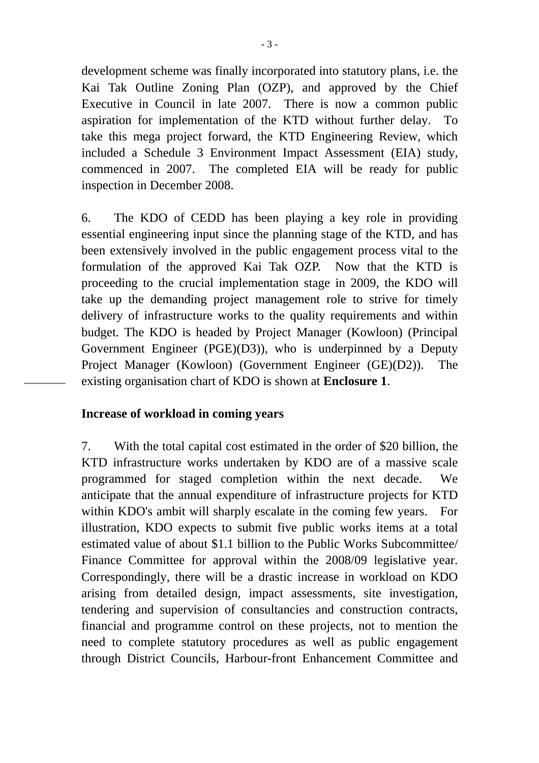development scheme was finally incorporated into statutory plans, i.e. the Kai Tak Outline Zoning Plan (OZP), and approved by the Chief Executive in Council in late 2007. There is now a common public aspiration for implementation of the KTD without further delay. To take this mega project forward, the KTD Engineering Review, which included a Schedule 3 Environment Impact Assessment (EIA) study, commenced in 2007. The completed EIA will be ready for public inspection in December 2008.

6. The KDO of CEDD has been playing a key role in providing essential engineering input since the planning stage of the KTD, and has been extensively involved in the public engagement process vital to the formulation of the approved Kai Tak OZP. Now that the KTD is proceeding to the crucial implementation stage in 2009, the KDO will take up the demanding project management role to strive for timely delivery of infrastructure works to the quality requirements and within budget. The KDO is headed by Project Manager (Kowloon) (Principal Government Engineer (PGE)(D3)), who is underpinned by a Deputy Project Manager (Kowloon) (Government Engineer (GE)(D2)). The existing organisation chart of KDO is shown at **Enclosure 1**.

#### **Increase of workload in coming years**

7. With the total capital cost estimated in the order of \$20 billion, the KTD infrastructure works undertaken by KDO are of a massive scale programmed for staged completion within the next decade. We anticipate that the annual expenditure of infrastructure projects for KTD within KDO's ambit will sharply escalate in the coming few years. For illustration, KDO expects to submit five public works items at a total estimated value of about \$1.1 billion to the Public Works Subcommittee/ Finance Committee for approval within the 2008/09 legislative year. Correspondingly, there will be a drastic increase in workload on KDO arising from detailed design, impact assessments, site investigation, tendering and supervision of consultancies and construction contracts, financial and programme control on these projects, not to mention the need to complete statutory procedures as well as public engagement through District Councils, Harbour-front Enhancement Committee and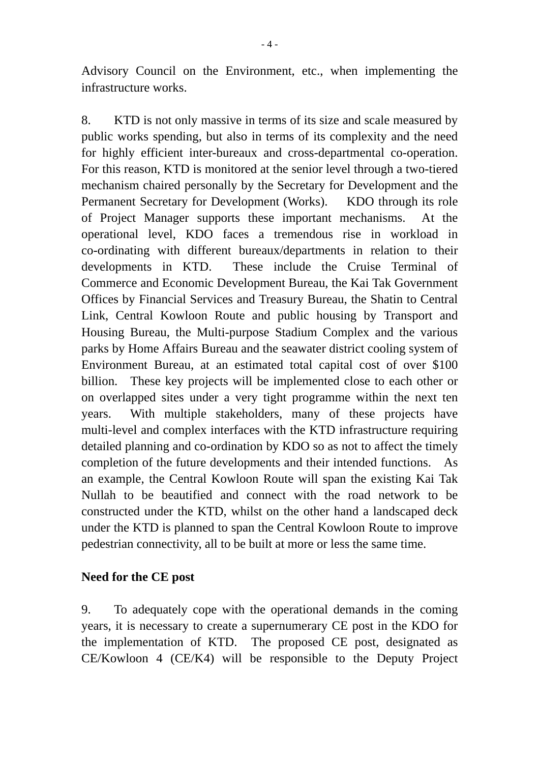Advisory Council on the Environment, etc., when implementing the infrastructure works.

8. KTD is not only massive in terms of its size and scale measured by public works spending, but also in terms of its complexity and the need for highly efficient inter-bureaux and cross-departmental co-operation. For this reason, KTD is monitored at the senior level through a two-tiered mechanism chaired personally by the Secretary for Development and the Permanent Secretary for Development (Works). KDO through its role of Project Manager supports these important mechanisms. At the operational level, KDO faces a tremendous rise in workload in co-ordinating with different bureaux/departments in relation to their developments in KTD. These include the Cruise Terminal of Commerce and Economic Development Bureau, the Kai Tak Government Offices by Financial Services and Treasury Bureau, the Shatin to Central Link, Central Kowloon Route and public housing by Transport and Housing Bureau, the Multi-purpose Stadium Complex and the various parks by Home Affairs Bureau and the seawater district cooling system of Environment Bureau, at an estimated total capital cost of over \$100 billion. These key projects will be implemented close to each other or on overlapped sites under a very tight programme within the next ten years. With multiple stakeholders, many of these projects have multi-level and complex interfaces with the KTD infrastructure requiring detailed planning and co-ordination by KDO so as not to affect the timely completion of the future developments and their intended functions. As an example, the Central Kowloon Route will span the existing Kai Tak Nullah to be beautified and connect with the road network to be constructed under the KTD, whilst on the other hand a landscaped deck under the KTD is planned to span the Central Kowloon Route to improve pedestrian connectivity, all to be built at more or less the same time.

## **Need for the CE post**

9. To adequately cope with the operational demands in the coming years, it is necessary to create a supernumerary CE post in the KDO for the implementation of KTD. The proposed CE post, designated as CE/Kowloon 4 (CE/K4) will be responsible to the Deputy Project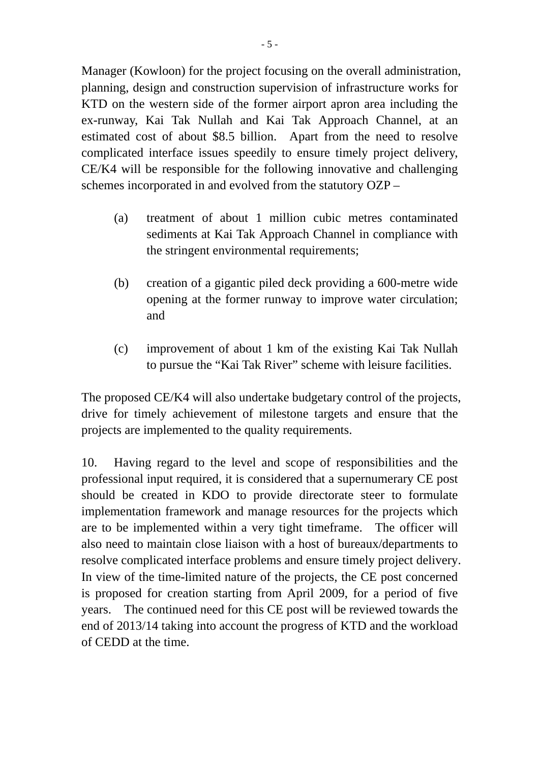Manager (Kowloon) for the project focusing on the overall administration, planning, design and construction supervision of infrastructure works for KTD on the western side of the former airport apron area including the ex-runway, Kai Tak Nullah and Kai Tak Approach Channel, at an estimated cost of about \$8.5 billion. Apart from the need to resolve complicated interface issues speedily to ensure timely project delivery, CE/K4 will be responsible for the following innovative and challenging schemes incorporated in and evolved from the statutory OZP –

- (a) treatment of about 1 million cubic metres contaminated sediments at Kai Tak Approach Channel in compliance with the stringent environmental requirements;
- (b) creation of a gigantic piled deck providing a 600-metre wide opening at the former runway to improve water circulation; and
- (c) improvement of about 1 km of the existing Kai Tak Nullah to pursue the "Kai Tak River" scheme with leisure facilities.

The proposed CE/K4 will also undertake budgetary control of the projects, drive for timely achievement of milestone targets and ensure that the projects are implemented to the quality requirements.

10. Having regard to the level and scope of responsibilities and the professional input required, it is considered that a supernumerary CE post should be created in KDO to provide directorate steer to formulate implementation framework and manage resources for the projects which are to be implemented within a very tight timeframe. The officer will also need to maintain close liaison with a host of bureaux/departments to resolve complicated interface problems and ensure timely project delivery. In view of the time-limited nature of the projects, the CE post concerned is proposed for creation starting from April 2009, for a period of five years. The continued need for this CE post will be reviewed towards the end of 2013/14 taking into account the progress of KTD and the workload of CEDD at the time.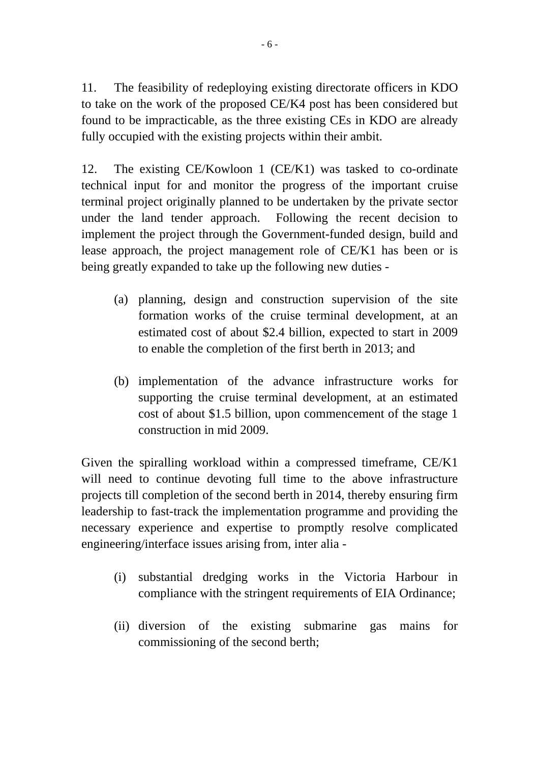11. The feasibility of redeploying existing directorate officers in KDO to take on the work of the proposed CE/K4 post has been considered but found to be impracticable, as the three existing CEs in KDO are already fully occupied with the existing projects within their ambit.

12. The existing CE/Kowloon 1 (CE/K1) was tasked to co-ordinate technical input for and monitor the progress of the important cruise terminal project originally planned to be undertaken by the private sector under the land tender approach. Following the recent decision to implement the project through the Government-funded design, build and lease approach, the project management role of CE/K1 has been or is being greatly expanded to take up the following new duties -

- (a) planning, design and construction supervision of the site formation works of the cruise terminal development, at an estimated cost of about \$2.4 billion, expected to start in 2009 to enable the completion of the first berth in 2013; and
- (b) implementation of the advance infrastructure works for supporting the cruise terminal development, at an estimated cost of about \$1.5 billion, upon commencement of the stage 1 construction in mid 2009.

Given the spiralling workload within a compressed timeframe, CE/K1 will need to continue devoting full time to the above infrastructure projects till completion of the second berth in 2014, thereby ensuring firm leadership to fast-track the implementation programme and providing the necessary experience and expertise to promptly resolve complicated engineering/interface issues arising from, inter alia -

- (i) substantial dredging works in the Victoria Harbour in compliance with the stringent requirements of EIA Ordinance;
- (ii) diversion of the existing submarine gas mains for commissioning of the second berth;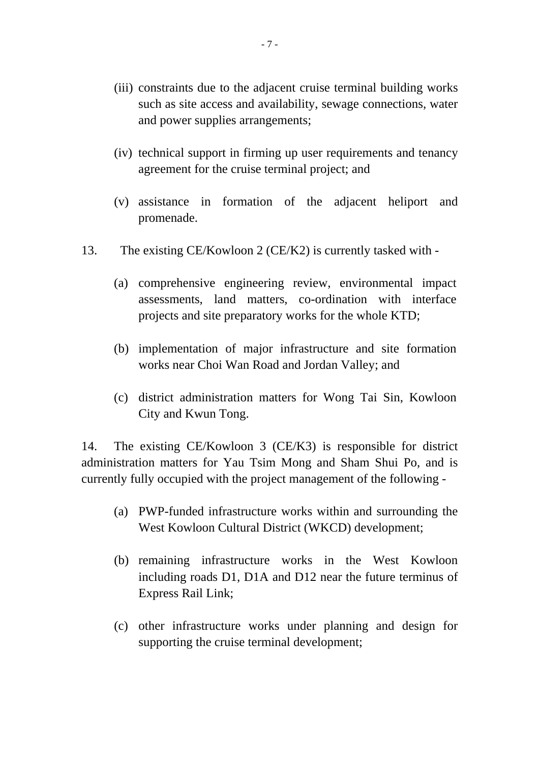- (iii) constraints due to the adjacent cruise terminal building works such as site access and availability, sewage connections, water and power supplies arrangements;
- (iv) technical support in firming up user requirements and tenancy agreement for the cruise terminal project; and
- (v) assistance in formation of the adjacent heliport and promenade.
- 13. The existing CE/Kowloon 2 (CE/K2) is currently tasked with
	- (a) comprehensive engineering review, environmental impact assessments, land matters, co-ordination with interface projects and site preparatory works for the whole KTD;
	- (b) implementation of major infrastructure and site formation works near Choi Wan Road and Jordan Valley; and
	- (c) district administration matters for Wong Tai Sin, Kowloon City and Kwun Tong.

14. The existing CE/Kowloon 3 (CE/K3) is responsible for district administration matters for Yau Tsim Mong and Sham Shui Po, and is currently fully occupied with the project management of the following -

- (a) PWP-funded infrastructure works within and surrounding the West Kowloon Cultural District (WKCD) development;
- (b) remaining infrastructure works in the West Kowloon including roads D1, D1A and D12 near the future terminus of Express Rail Link;
- (c) other infrastructure works under planning and design for supporting the cruise terminal development;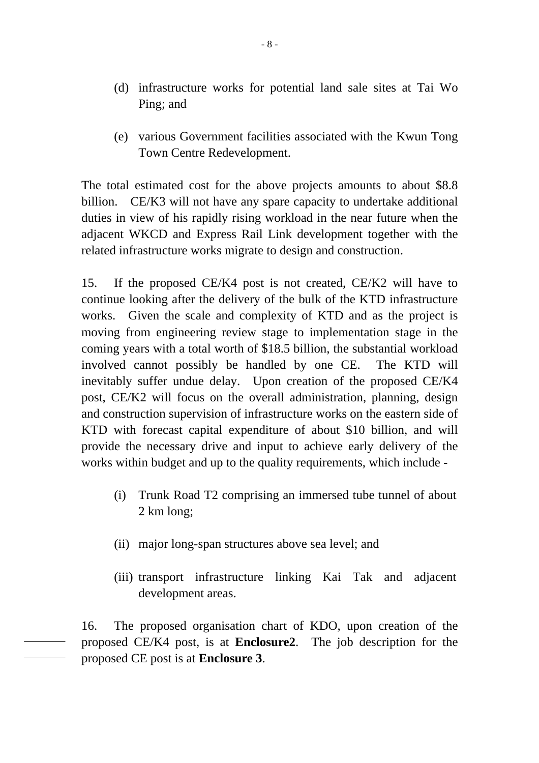- (d) infrastructure works for potential land sale sites at Tai Wo Ping; and
- (e) various Government facilities associated with the Kwun Tong Town Centre Redevelopment.

The total estimated cost for the above projects amounts to about \$8.8 billion. CE/K3 will not have any spare capacity to undertake additional duties in view of his rapidly rising workload in the near future when the adjacent WKCD and Express Rail Link development together with the related infrastructure works migrate to design and construction.

15. If the proposed CE/K4 post is not created, CE/K2 will have to continue looking after the delivery of the bulk of the KTD infrastructure works. Given the scale and complexity of KTD and as the project is moving from engineering review stage to implementation stage in the coming years with a total worth of \$18.5 billion, the substantial workload involved cannot possibly be handled by one CE. The KTD will inevitably suffer undue delay. Upon creation of the proposed CE/K4 post, CE/K2 will focus on the overall administration, planning, design and construction supervision of infrastructure works on the eastern side of KTD with forecast capital expenditure of about \$10 billion, and will provide the necessary drive and input to achieve early delivery of the works within budget and up to the quality requirements, which include -

- (i) Trunk Road T2 comprising an immersed tube tunnel of about 2 km long;
- (ii) major long-span structures above sea level; and
- (iii) transport infrastructure linking Kai Tak and adjacent development areas.

16. The proposed organisation chart of KDO, upon creation of the proposed CE/K4 post, is at **Enclosure2**. The job description for the proposed CE post is at **Enclosure 3**.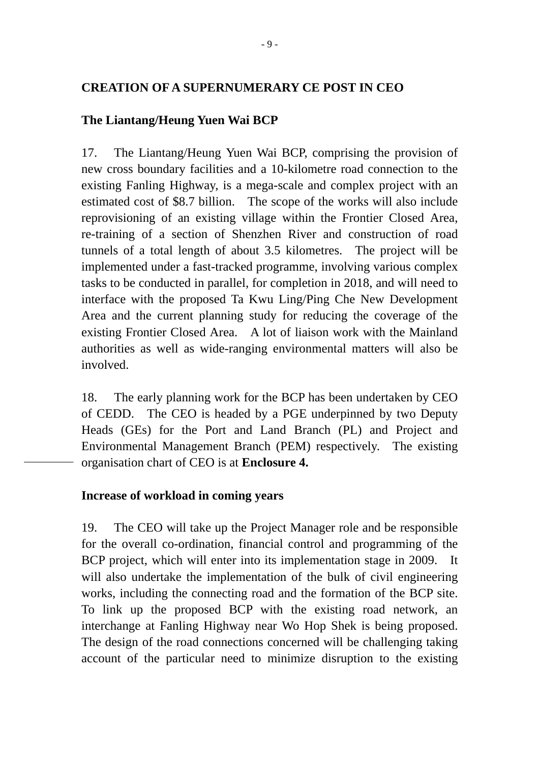#### **CREATION OF A SUPERNUMERARY CE POST IN CEO**

#### **The Liantang/Heung Yuen Wai BCP**

17. The Liantang/Heung Yuen Wai BCP, comprising the provision of new cross boundary facilities and a 10-kilometre road connection to the existing Fanling Highway, is a mega-scale and complex project with an estimated cost of \$8.7 billion. The scope of the works will also include reprovisioning of an existing village within the Frontier Closed Area, re-training of a section of Shenzhen River and construction of road tunnels of a total length of about 3.5 kilometres. The project will be implemented under a fast-tracked programme, involving various complex tasks to be conducted in parallel, for completion in 2018, and will need to interface with the proposed Ta Kwu Ling/Ping Che New Development Area and the current planning study for reducing the coverage of the existing Frontier Closed Area. A lot of liaison work with the Mainland authorities as well as wide-ranging environmental matters will also be involved.

18. The early planning work for the BCP has been undertaken by CEO of CEDD. The CEO is headed by a PGE underpinned by two Deputy Heads (GEs) for the Port and Land Branch (PL) and Project and Environmental Management Branch (PEM) respectively. The existing organisation chart of CEO is at **Enclosure 4.** 

#### **Increase of workload in coming years**

19. The CEO will take up the Project Manager role and be responsible for the overall co-ordination, financial control and programming of the BCP project, which will enter into its implementation stage in 2009. It will also undertake the implementation of the bulk of civil engineering works, including the connecting road and the formation of the BCP site. To link up the proposed BCP with the existing road network, an interchange at Fanling Highway near Wo Hop Shek is being proposed. The design of the road connections concerned will be challenging taking account of the particular need to minimize disruption to the existing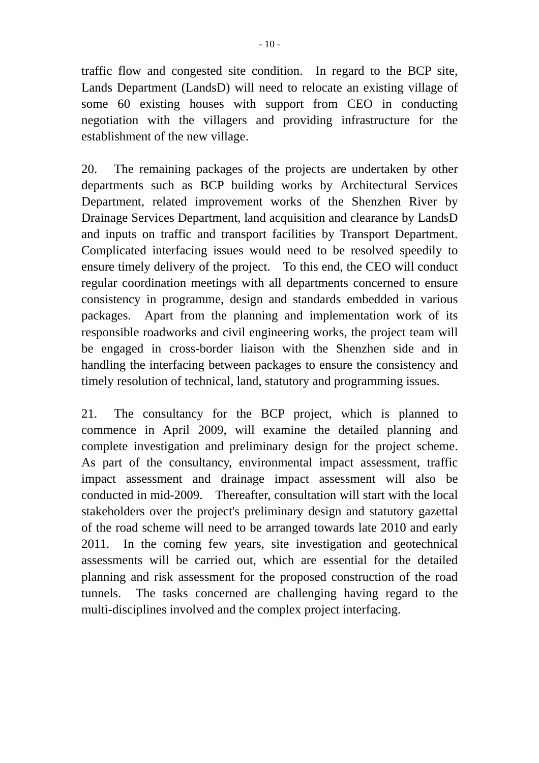traffic flow and congested site condition. In regard to the BCP site, Lands Department (LandsD) will need to relocate an existing village of some 60 existing houses with support from CEO in conducting negotiation with the villagers and providing infrastructure for the establishment of the new village.

20. The remaining packages of the projects are undertaken by other departments such as BCP building works by Architectural Services Department, related improvement works of the Shenzhen River by Drainage Services Department, land acquisition and clearance by LandsD and inputs on traffic and transport facilities by Transport Department. Complicated interfacing issues would need to be resolved speedily to ensure timely delivery of the project. To this end, the CEO will conduct regular coordination meetings with all departments concerned to ensure consistency in programme, design and standards embedded in various packages. Apart from the planning and implementation work of its responsible roadworks and civil engineering works, the project team will be engaged in cross-border liaison with the Shenzhen side and in handling the interfacing between packages to ensure the consistency and timely resolution of technical, land, statutory and programming issues.

21. The consultancy for the BCP project, which is planned to commence in April 2009, will examine the detailed planning and complete investigation and preliminary design for the project scheme. As part of the consultancy, environmental impact assessment, traffic impact assessment and drainage impact assessment will also be conducted in mid-2009. Thereafter, consultation will start with the local stakeholders over the project's preliminary design and statutory gazettal of the road scheme will need to be arranged towards late 2010 and early 2011. In the coming few years, site investigation and geotechnical assessments will be carried out, which are essential for the detailed planning and risk assessment for the proposed construction of the road tunnels. The tasks concerned are challenging having regard to the multi-disciplines involved and the complex project interfacing.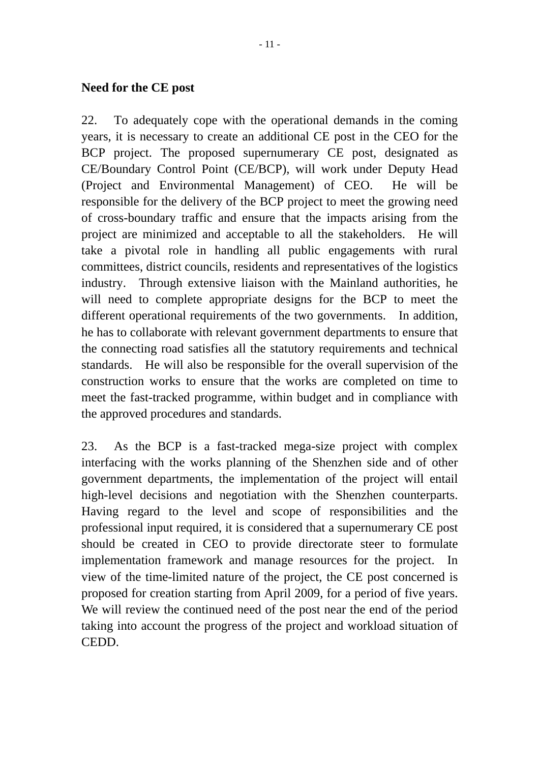#### **Need for the CE post**

22. To adequately cope with the operational demands in the coming years, it is necessary to create an additional CE post in the CEO for the BCP project. The proposed supernumerary CE post, designated as CE/Boundary Control Point (CE/BCP), will work under Deputy Head (Project and Environmental Management) of CEO. He will be responsible for the delivery of the BCP project to meet the growing need of cross-boundary traffic and ensure that the impacts arising from the project are minimized and acceptable to all the stakeholders. He will take a pivotal role in handling all public engagements with rural committees, district councils, residents and representatives of the logistics industry. Through extensive liaison with the Mainland authorities, he will need to complete appropriate designs for the BCP to meet the different operational requirements of the two governments. In addition, he has to collaborate with relevant government departments to ensure that the connecting road satisfies all the statutory requirements and technical standards. He will also be responsible for the overall supervision of the construction works to ensure that the works are completed on time to meet the fast-tracked programme, within budget and in compliance with the approved procedures and standards.

23. As the BCP is a fast-tracked mega-size project with complex interfacing with the works planning of the Shenzhen side and of other government departments, the implementation of the project will entail high-level decisions and negotiation with the Shenzhen counterparts. Having regard to the level and scope of responsibilities and the professional input required, it is considered that a supernumerary CE post should be created in CEO to provide directorate steer to formulate implementation framework and manage resources for the project. In view of the time-limited nature of the project, the CE post concerned is proposed for creation starting from April 2009, for a period of five years. We will review the continued need of the post near the end of the period taking into account the progress of the project and workload situation of CEDD.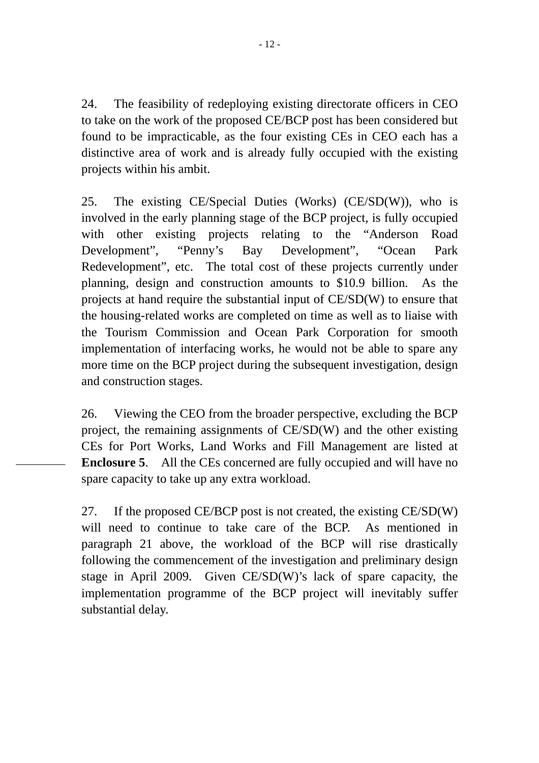24. The feasibility of redeploying existing directorate officers in CEO to take on the work of the proposed CE/BCP post has been considered but found to be impracticable, as the four existing CEs in CEO each has a distinctive area of work and is already fully occupied with the existing projects within his ambit.

25. The existing CE/Special Duties (Works) (CE/SD(W)), who is involved in the early planning stage of the BCP project, is fully occupied with other existing projects relating to the "Anderson Road Development", "Penny's Bay Development", "Ocean Park Redevelopment", etc. The total cost of these projects currently under planning, design and construction amounts to \$10.9 billion. As the projects at hand require the substantial input of CE/SD(W) to ensure that the housing-related works are completed on time as well as to liaise with the Tourism Commission and Ocean Park Corporation for smooth implementation of interfacing works, he would not be able to spare any more time on the BCP project during the subsequent investigation, design and construction stages.

26. Viewing the CEO from the broader perspective, excluding the BCP project, the remaining assignments of CE/SD(W) and the other existing CEs for Port Works, Land Works and Fill Management are listed at **Enclosure 5**. All the CEs concerned are fully occupied and will have no spare capacity to take up any extra workload.

27. If the proposed CE/BCP post is not created, the existing CE/SD(W) will need to continue to take care of the BCP. As mentioned in paragraph 21 above, the workload of the BCP will rise drastically following the commencement of the investigation and preliminary design stage in April 2009. Given CE/SD(W)'s lack of spare capacity, the implementation programme of the BCP project will inevitably suffer substantial delay.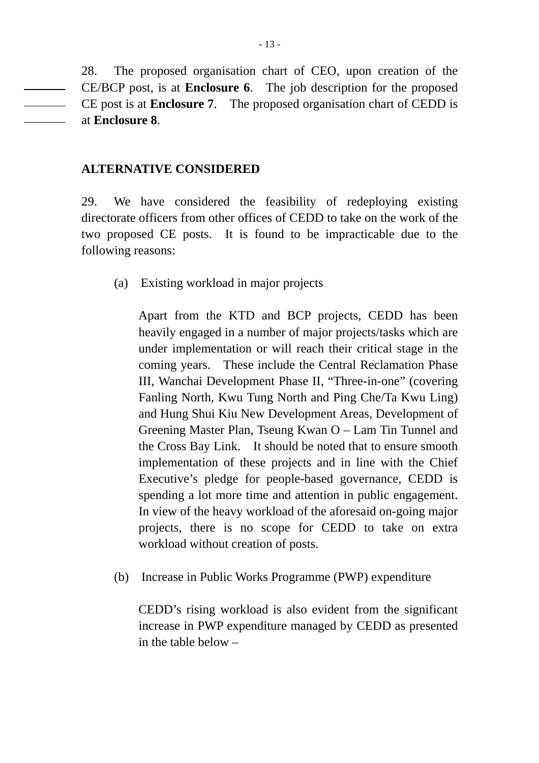28. The proposed organisation chart of CEO, upon creation of the CE/BCP post, is at **Enclosure 6**. The job description for the proposed CE post is at **Enclosure 7**. The proposed organisation chart of CEDD is at **Enclosure 8**.

#### **ALTERNATIVE CONSIDERED**

29. We have considered the feasibility of redeploying existing directorate officers from other offices of CEDD to take on the work of the two proposed CE posts. It is found to be impracticable due to the following reasons:

(a) Existing workload in major projects

Apart from the KTD and BCP projects, CEDD has been heavily engaged in a number of major projects/tasks which are under implementation or will reach their critical stage in the coming years. These include the Central Reclamation Phase III, Wanchai Development Phase II, "Three-in-one" (covering Fanling North, Kwu Tung North and Ping Che/Ta Kwu Ling) and Hung Shui Kiu New Development Areas, Development of Greening Master Plan, Tseung Kwan O – Lam Tin Tunnel and the Cross Bay Link. It should be noted that to ensure smooth implementation of these projects and in line with the Chief Executive's pledge for people-based governance, CEDD is spending a lot more time and attention in public engagement. In view of the heavy workload of the aforesaid on-going major projects, there is no scope for CEDD to take on extra workload without creation of posts.

(b) Increase in Public Works Programme (PWP) expenditure

CEDD's rising workload is also evident from the significant increase in PWP expenditure managed by CEDD as presented in the table below –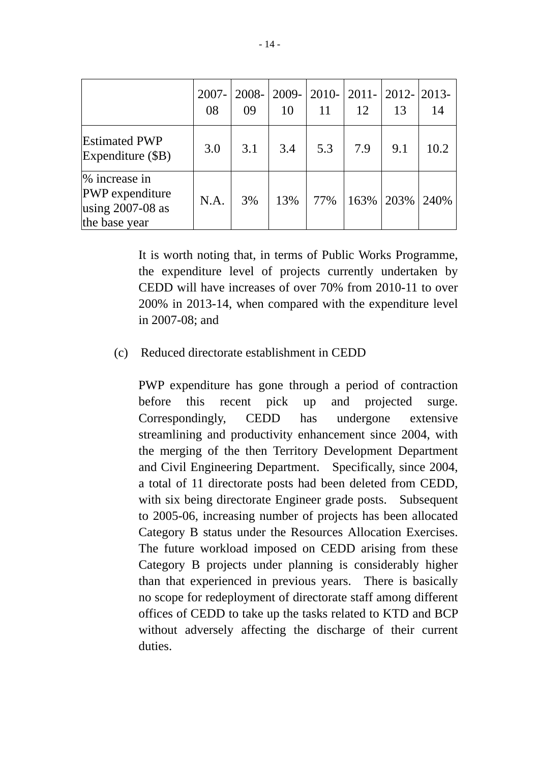|                                                                           | $2007 -$<br>08 | 09  | 2008-2009-2010-2011-2012-2013-<br>10 | 11  | 12   | 13   | 14    |
|---------------------------------------------------------------------------|----------------|-----|--------------------------------------|-----|------|------|-------|
| <b>Estimated PWP</b><br>Expenditure (\$B)                                 | 3.0            | 3.1 | 3.4                                  | 5.3 | 7.9  | 9.1  | 10.2  |
| % increase in<br>PWP expenditure<br>using $2007 - 08$ as<br>the base year | N.A.           | 3%  | 13%                                  | 77% | 163% | 203% | 240\% |

It is worth noting that, in terms of Public Works Programme, the expenditure level of projects currently undertaken by CEDD will have increases of over 70% from 2010-11 to over 200% in 2013-14, when compared with the expenditure level in 2007-08; and

#### (c) Reduced directorate establishment in CEDD

PWP expenditure has gone through a period of contraction before this recent pick up and projected surge. Correspondingly, CEDD has undergone extensive streamlining and productivity enhancement since 2004, with the merging of the then Territory Development Department and Civil Engineering Department. Specifically, since 2004, a total of 11 directorate posts had been deleted from CEDD, with six being directorate Engineer grade posts. Subsequent to 2005-06, increasing number of projects has been allocated Category B status under the Resources Allocation Exercises. The future workload imposed on CEDD arising from these Category B projects under planning is considerably higher than that experienced in previous years. There is basically no scope for redeployment of directorate staff among different offices of CEDD to take up the tasks related to KTD and BCP without adversely affecting the discharge of their current duties.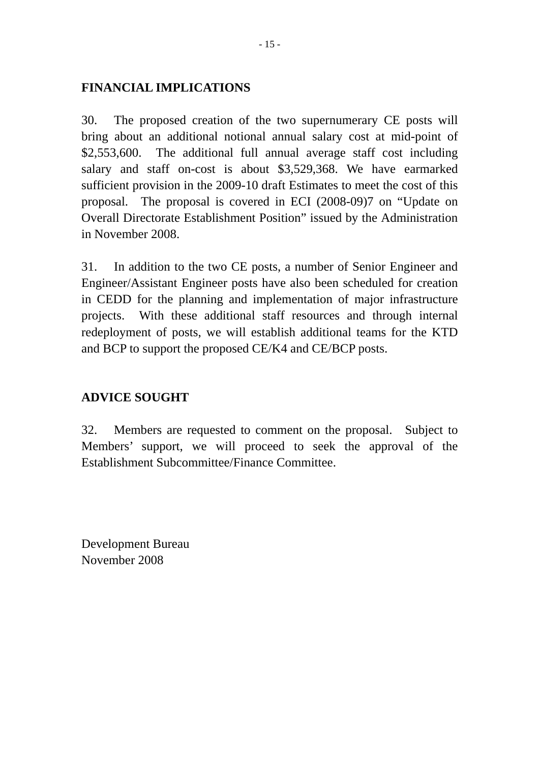# **FINANCIAL IMPLICATIONS**

30. The proposed creation of the two supernumerary CE posts will bring about an additional notional annual salary cost at mid-point of \$2,553,600. The additional full annual average staff cost including salary and staff on-cost is about \$3,529,368. We have earmarked sufficient provision in the 2009-10 draft Estimates to meet the cost of this proposal. The proposal is covered in ECI (2008-09)7 on "Update on Overall Directorate Establishment Position" issued by the Administration in November 2008.

31. In addition to the two CE posts, a number of Senior Engineer and Engineer/Assistant Engineer posts have also been scheduled for creation in CEDD for the planning and implementation of major infrastructure projects. With these additional staff resources and through internal redeployment of posts, we will establish additional teams for the KTD and BCP to support the proposed CE/K4 and CE/BCP posts.

## **ADVICE SOUGHT**

32. Members are requested to comment on the proposal. Subject to Members' support, we will proceed to seek the approval of the Establishment Subcommittee/Finance Committee.

Development Bureau November 2008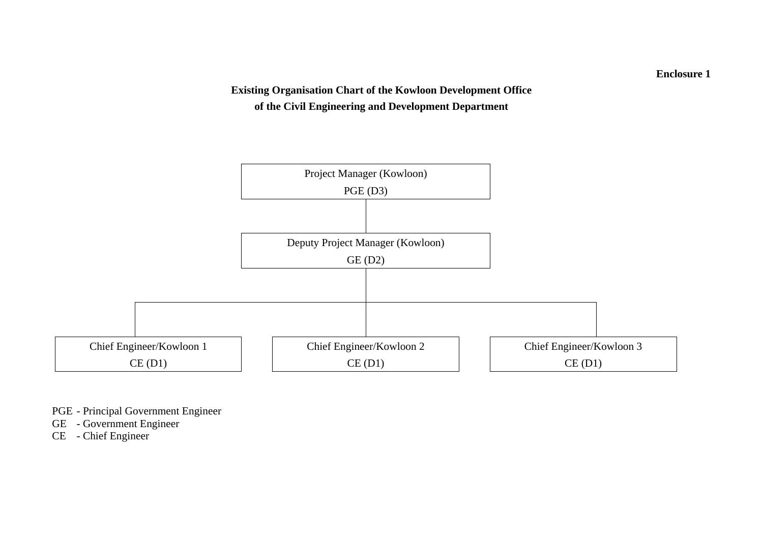# **Existing Organisation Chart of the Kowloon Development Office of the Civil Engineering and Development Department**



PGE - Principal Government Engineer

GE - Government Engineer

CE - Chief Engineer

**Enclosure 1**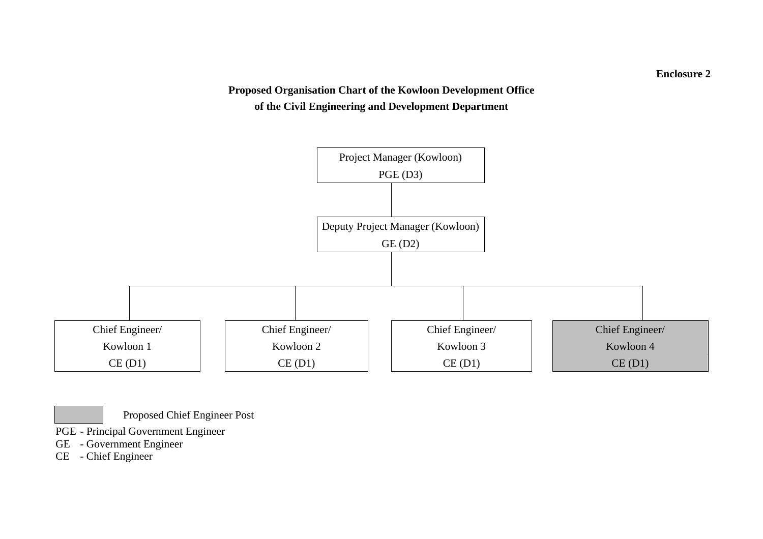# **Proposed Organisation Chart of the Kowloon Development Office of the Civil Engineering and Development Department**



Proposed Chief Engineer Post

PGE - Principal Government Engineer

- GE Government Engineer
- CE Chief Engineer

**Enclosure 2**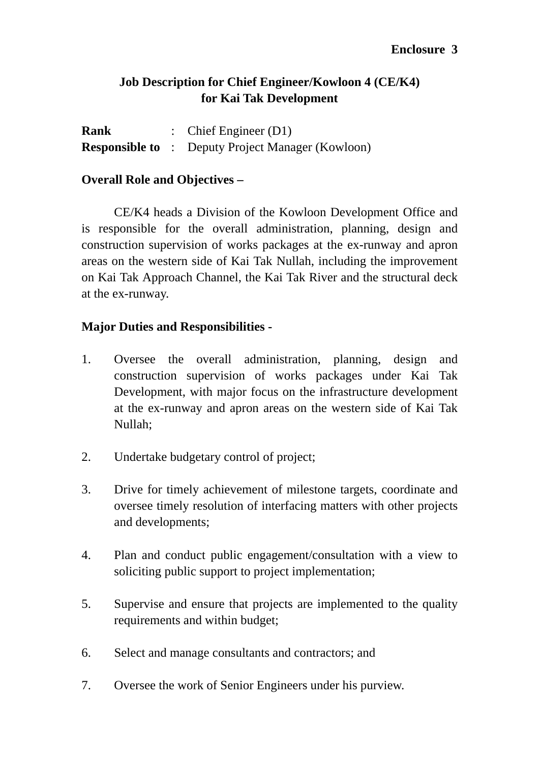# **Job Description for Chief Engineer/Kowloon 4 (CE/K4) for Kai Tak Development**

| Rank | : Chief Engineer $(D1)$                                  |
|------|----------------------------------------------------------|
|      | <b>Responsible to</b> : Deputy Project Manager (Kowloon) |

## **Overall Role and Objectives –**

 CE/K4 heads a Division of the Kowloon Development Office and is responsible for the overall administration, planning, design and construction supervision of works packages at the ex-runway and apron areas on the western side of Kai Tak Nullah, including the improvement on Kai Tak Approach Channel, the Kai Tak River and the structural deck at the ex-runway.

## **Major Duties and Responsibilities -**

- 1. Oversee the overall administration, planning, design and construction supervision of works packages under Kai Tak Development, with major focus on the infrastructure development at the ex-runway and apron areas on the western side of Kai Tak Nullah;
- 2. Undertake budgetary control of project;
- 3. Drive for timely achievement of milestone targets, coordinate and oversee timely resolution of interfacing matters with other projects and developments;
- 4. Plan and conduct public engagement/consultation with a view to soliciting public support to project implementation;
- 5. Supervise and ensure that projects are implemented to the quality requirements and within budget;
- 6. Select and manage consultants and contractors; and
- 7. Oversee the work of Senior Engineers under his purview.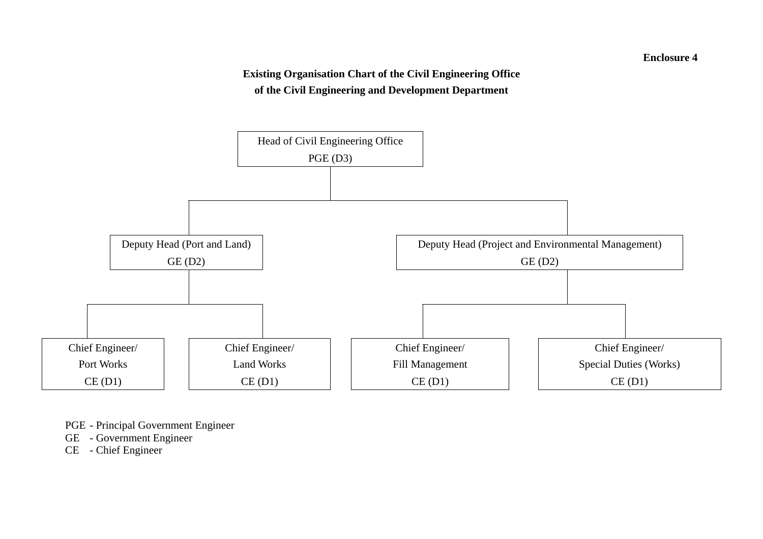#### **Enclosure 4**

# **Existing Organisation Chart of the Civil Engineering Office of the Civil Engineering and Development Department**



PGE - Principal Government Engineer

GE - Government Engineer

CE - Chief Engineer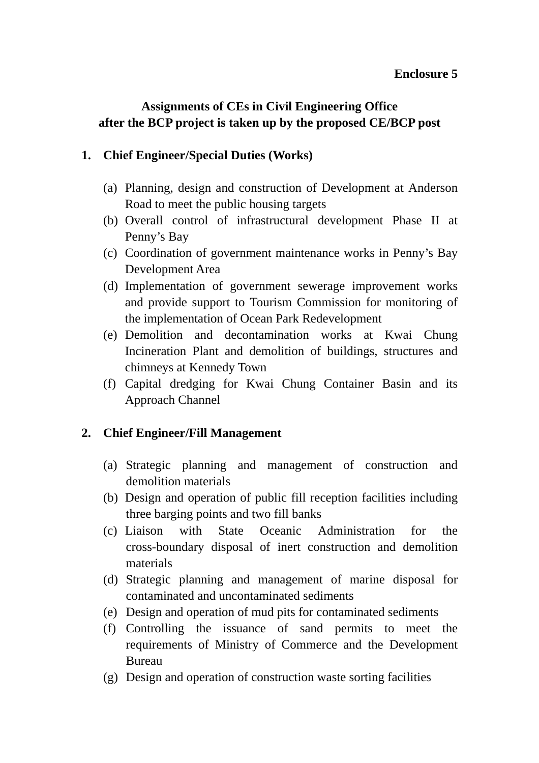#### **Enclosure 5**

# **Assignments of CEs in Civil Engineering Office after the BCP project is taken up by the proposed CE/BCP post**

# **1. Chief Engineer/Special Duties (Works)**

- (a) Planning, design and construction of Development at Anderson Road to meet the public housing targets
- (b) Overall control of infrastructural development Phase II at Penny's Bay
- (c) Coordination of government maintenance works in Penny's Bay Development Area
- (d) Implementation of government sewerage improvement works and provide support to Tourism Commission for monitoring of the implementation of Ocean Park Redevelopment
- (e) Demolition and decontamination works at Kwai Chung Incineration Plant and demolition of buildings, structures and chimneys at Kennedy Town
- (f) Capital dredging for Kwai Chung Container Basin and its Approach Channel

# **2. Chief Engineer/Fill Management**

- (a) Strategic planning and management of construction and demolition materials
- (b) Design and operation of public fill reception facilities including three barging points and two fill banks
- (c) Liaison with State Oceanic Administration for the cross-boundary disposal of inert construction and demolition materials
- (d) Strategic planning and management of marine disposal for contaminated and uncontaminated sediments
- (e) Design and operation of mud pits for contaminated sediments
- (f) Controlling the issuance of sand permits to meet the requirements of Ministry of Commerce and the Development Bureau
- (g) Design and operation of construction waste sorting facilities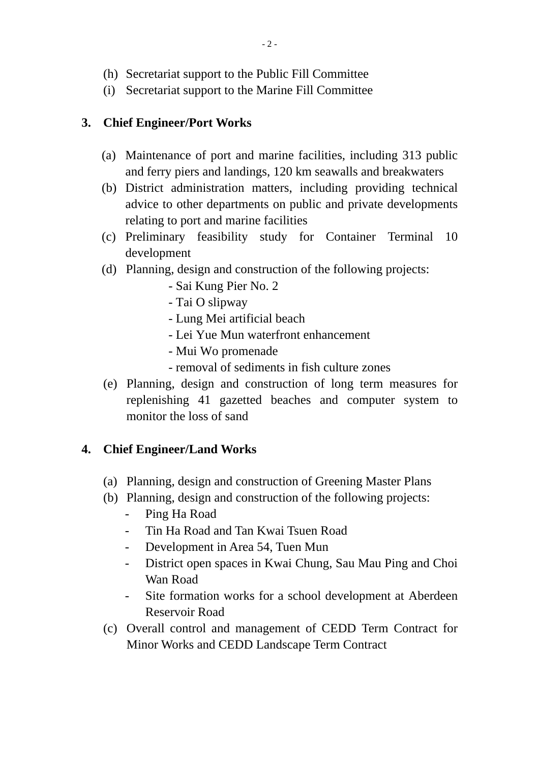- (h) Secretariat support to the Public Fill Committee
- (i) Secretariat support to the Marine Fill Committee

# **3. Chief Engineer/Port Works**

- (a) Maintenance of port and marine facilities, including 313 public and ferry piers and landings, 120 km seawalls and breakwaters
- (b) District administration matters, including providing technical advice to other departments on public and private developments relating to port and marine facilities
- (c) Preliminary feasibility study for Container Terminal 10 development
- (d) Planning, design and construction of the following projects:
	- Sai Kung Pier No. 2
	- Tai O slipway
	- Lung Mei artificial beach
	- Lei Yue Mun waterfront enhancement
	- Mui Wo promenade
	- removal of sediments in fish culture zones
- (e) Planning, design and construction of long term measures for replenishing 41 gazetted beaches and computer system to monitor the loss of sand

# **4. Chief Engineer/Land Works**

- (a) Planning, design and construction of Greening Master Plans
- (b) Planning, design and construction of the following projects:
	- Ping Ha Road
	- Tin Ha Road and Tan Kwai Tsuen Road
	- Development in Area 54, Tuen Mun
	- District open spaces in Kwai Chung, Sau Mau Ping and Choi Wan Road
	- Site formation works for a school development at Aberdeen Reservoir Road
- (c) Overall control and management of CEDD Term Contract for Minor Works and CEDD Landscape Term Contract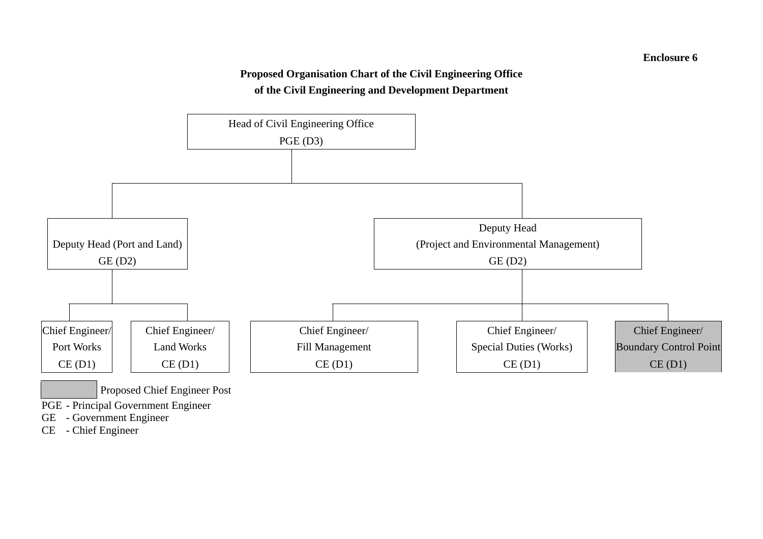#### **Enclosure 6**

#### **Proposed Organisation Chart of the Civil Engineering Office of the Civil Engineering and Development Department**



GE - Government Engineer

CE - Chief Engineer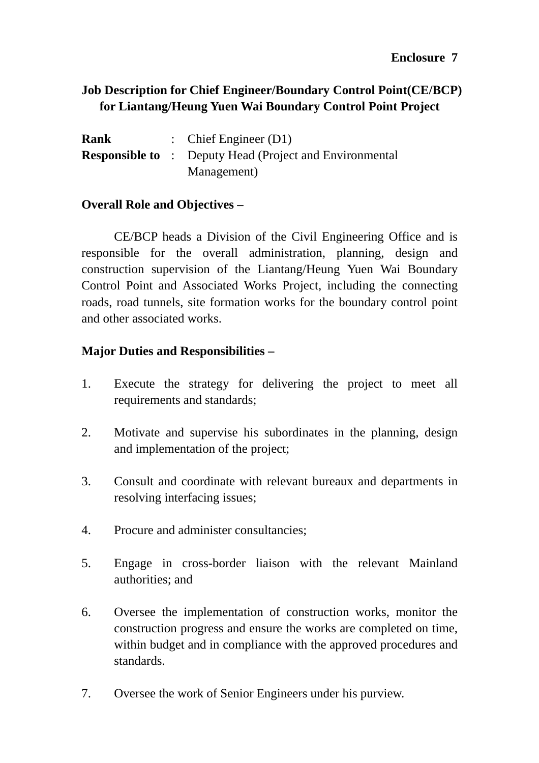# **Job Description for Chief Engineer/Boundary Control Point(CE/BCP) for Liantang/Heung Yuen Wai Boundary Control Point Project**

| Rank | : Chief Engineer $(D1)$                                        |
|------|----------------------------------------------------------------|
|      | <b>Responsible to</b> : Deputy Head (Project and Environmental |
|      | Management)                                                    |

# **Overall Role and Objectives –**

 CE/BCP heads a Division of the Civil Engineering Office and is responsible for the overall administration, planning, design and construction supervision of the Liantang/Heung Yuen Wai Boundary Control Point and Associated Works Project, including the connecting roads, road tunnels, site formation works for the boundary control point and other associated works.

# **Major Duties and Responsibilities –**

- 1. Execute the strategy for delivering the project to meet all requirements and standards;
- 2. Motivate and supervise his subordinates in the planning, design and implementation of the project;
- 3. Consult and coordinate with relevant bureaux and departments in resolving interfacing issues;
- 4. Procure and administer consultancies;
- 5. Engage in cross-border liaison with the relevant Mainland authorities; and
- 6. Oversee the implementation of construction works, monitor the construction progress and ensure the works are completed on time, within budget and in compliance with the approved procedures and standards.
- 7. Oversee the work of Senior Engineers under his purview.